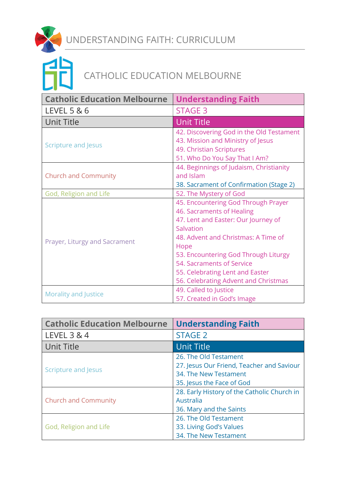



| <b>Catholic Education Melbourne</b> | <b>Understanding Faith</b>                                                                                                                                                                                                                                                                                          |
|-------------------------------------|---------------------------------------------------------------------------------------------------------------------------------------------------------------------------------------------------------------------------------------------------------------------------------------------------------------------|
| LEVEL 5 & 6                         | <b>STAGE 3</b>                                                                                                                                                                                                                                                                                                      |
| <b>Unit Title</b>                   | <b>Unit Title</b>                                                                                                                                                                                                                                                                                                   |
| <b>Scripture and Jesus</b>          | 42. Discovering God in the Old Testament<br>43. Mission and Ministry of Jesus<br>49. Christian Scriptures<br>51. Who Do You Say That I Am?                                                                                                                                                                          |
| <b>Church and Community</b>         | 44. Beginnings of Judaism, Christianity<br>and Islam<br>38. Sacrament of Confirmation (Stage 2)                                                                                                                                                                                                                     |
| God, Religion and Life              | 52. The Mystery of God                                                                                                                                                                                                                                                                                              |
| Prayer, Liturgy and Sacrament       | 45. Encountering God Through Prayer<br>46. Sacraments of Healing<br>47. Lent and Easter: Our Journey of<br>Salvation<br>48. Advent and Christmas: A Time of<br>Hope<br>53. Encountering God Through Liturgy<br>54. Sacraments of Service<br>55. Celebrating Lent and Easter<br>56. Celebrating Advent and Christmas |
| Morality and Justice                | 49. Called to Justice<br>57. Created in God's Image                                                                                                                                                                                                                                                                 |

| <b>Catholic Education Melbourne</b> | <b>Understanding Faith</b>                  |
|-------------------------------------|---------------------------------------------|
| LEVEL 3 & 4                         | <b>STAGE 2</b>                              |
| <b>Unit Title</b>                   | <b>Unit Title</b>                           |
| Scripture and Jesus                 | 26. The Old Testament                       |
|                                     | 27. Jesus Our Friend, Teacher and Saviour   |
|                                     | 34. The New Testament                       |
|                                     | 35. Jesus the Face of God                   |
| <b>Church and Community</b>         | 28. Early History of the Catholic Church in |
|                                     | Australia                                   |
|                                     | 36. Mary and the Saints                     |
| God, Religion and Life              | 26. The Old Testament                       |
|                                     | 33. Living God's Values                     |
|                                     | 34. The New Testament                       |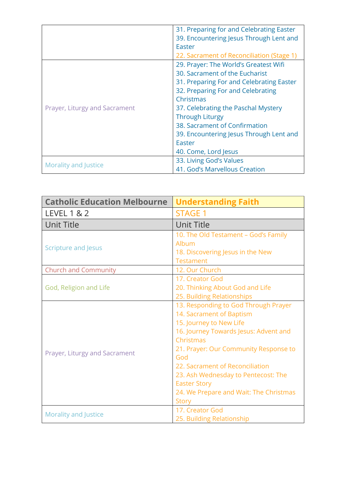|                               | 31. Preparing for and Celebrating Easter  |
|-------------------------------|-------------------------------------------|
|                               | 39. Encountering Jesus Through Lent and   |
|                               | Easter                                    |
|                               | 22. Sacrament of Reconciliation (Stage 1) |
| Prayer, Liturgy and Sacrament | 29. Prayer: The World's Greatest Wifi     |
|                               | 30. Sacrament of the Eucharist            |
|                               | 31. Preparing For and Celebrating Easter  |
|                               | 32. Preparing For and Celebrating         |
|                               | Christmas                                 |
|                               | 37. Celebrating the Paschal Mystery       |
|                               | <b>Through Liturgy</b>                    |
|                               | 38. Sacrament of Confirmation             |
|                               | 39. Encountering Jesus Through Lent and   |
|                               | Easter                                    |
|                               | 40. Come, Lord Jesus                      |
| Morality and Justice          | 33. Living God's Values                   |
|                               | 41. God's Marvellous Creation             |

| <b>Catholic Education Melbourne</b> | <b>Understanding Faith</b>             |
|-------------------------------------|----------------------------------------|
| <b>LEVEL 1 &amp; 2</b>              | <b>STAGE 1</b>                         |
| <b>Unit Title</b>                   | <b>Unit Title</b>                      |
| <b>Scripture and Jesus</b>          | 10. The Old Testament - God's Family   |
|                                     | Album                                  |
|                                     | 18. Discovering Jesus in the New       |
|                                     | <b>Testament</b>                       |
| <b>Church and Community</b>         | 12. Our Church                         |
|                                     | 17. Creator God                        |
| God, Religion and Life              | 20. Thinking About God and Life        |
|                                     | 25. Building Relationships             |
|                                     | 13. Responding to God Through Prayer   |
|                                     | 14. Sacrament of Baptism               |
|                                     | 15. Journey to New Life                |
|                                     | 16. Journey Towards Jesus: Advent and  |
|                                     | Christmas                              |
|                                     | 21. Prayer: Our Community Response to  |
| Prayer, Liturgy and Sacrament       | God                                    |
|                                     | 22. Sacrament of Reconciliation        |
|                                     | 23. Ash Wednesday to Pentecost: The    |
|                                     | <b>Easter Story</b>                    |
|                                     | 24. We Prepare and Wait: The Christmas |
|                                     | <b>Story</b>                           |
| <b>Morality and Justice</b>         | 17. Creator God                        |
|                                     | 25. Building Relationship              |